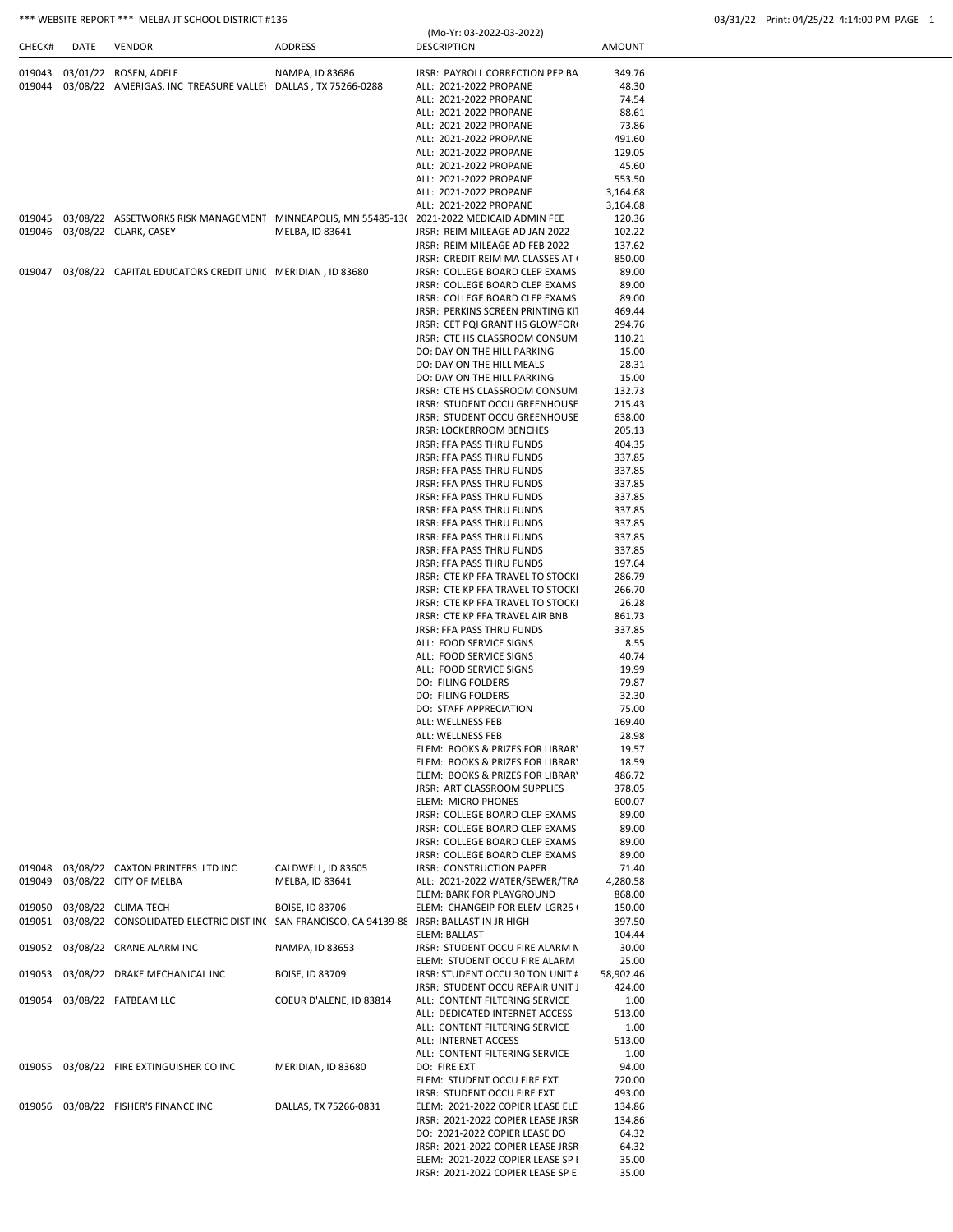|        |      | *** WEBSITE REPORT *** MELBA JT SCHOOL DISTRICT #136                                       |                 |                                                |               | 03/31/22 Print: 04/25/22 4:14:00 PM PAGE 1 |  |
|--------|------|--------------------------------------------------------------------------------------------|-----------------|------------------------------------------------|---------------|--------------------------------------------|--|
| CHECK# | DATE | <b>VENDOR</b>                                                                              | <b>ADDRESS</b>  | (Mo-Yr: 03-2022-03-2022)<br><b>DESCRIPTION</b> | <b>AMOUNT</b> |                                            |  |
| 019043 |      | 03/01/22 ROSEN, ADELE                                                                      | NAMPA, ID 83686 | JRSR: PAYROLL CORRECTION PEP BA                | 349.76        |                                            |  |
| 019044 |      | 03/08/22 AMERIGAS, INC TREASURE VALLEY DALLAS, TX 75266-0288                               |                 | ALL: 2021-2022 PROPANE                         | 48.30         |                                            |  |
|        |      |                                                                                            |                 | ALL: 2021-2022 PROPANE                         | 74.54         |                                            |  |
|        |      |                                                                                            |                 | ALL: 2021-2022 PROPANE                         | 88.61         |                                            |  |
|        |      |                                                                                            |                 | ALL: 2021-2022 PROPANE                         | 73.86         |                                            |  |
|        |      |                                                                                            |                 | ALL: 2021-2022 PROPANE                         | 491.60        |                                            |  |
|        |      |                                                                                            |                 | ALL: 2021-2022 PROPANE                         | 129.05        |                                            |  |
|        |      |                                                                                            |                 | ALL: 2021-2022 PROPANE                         | 45.60         |                                            |  |
|        |      |                                                                                            |                 | ALL: 2021-2022 PROPANE                         | 553.50        |                                            |  |
|        |      |                                                                                            |                 | ALL: 2021-2022 PROPANE                         | 3,164.68      |                                            |  |
|        |      |                                                                                            |                 | ALL: 2021-2022 PROPANE                         | 3,164.68      |                                            |  |
| 019045 |      | 03/08/22 ASSETWORKS RISK MANAGEMENT MINNEAPOLIS, MN 55485-13( 2021-2022 MEDICAID ADMIN FEE |                 |                                                | 120.36        |                                            |  |
|        |      |                                                                                            | MELBA, ID 83641 | JRSR: REIM MILEAGE AD JAN 2022                 | 102.22        |                                            |  |
|        |      |                                                                                            |                 | JRSR: REIM MILEAGE AD FEB 2022                 | 137.62        |                                            |  |
|        |      |                                                                                            |                 | JRSR: CREDIT REIM MA CLASSES AT                | 850.00        |                                            |  |
| 019047 |      | 03/08/22 CAPITAL EDUCATORS CREDIT UNIC MERIDIAN, ID 83680                                  |                 | JRSR: COLLEGE BOARD CLEP EXAMS                 | 89.00         |                                            |  |
|        |      |                                                                                            |                 | JRSR: COLLEGE BOARD CLEP EXAMS                 | 89.00         |                                            |  |
|        |      |                                                                                            |                 | JRSR: COLLEGE BOARD CLEP EXAMS                 | 89.00         |                                            |  |
|        |      |                                                                                            |                 | JRSR: PERKINS SCREEN PRINTING KIT              | 469.44        |                                            |  |
|        |      |                                                                                            |                 | JRSR: CET PQI GRANT HS GLOWFOR                 | 294.76        |                                            |  |
|        |      |                                                                                            |                 | JRSR: CTE HS CLASSROOM CONSUM                  | 110.21        |                                            |  |
|        |      |                                                                                            |                 | DO: DAY ON THE HILL PARKING                    | 15.00         |                                            |  |
|        |      |                                                                                            |                 | DO: DAY ON THE HILL MEALS                      | 28.31         |                                            |  |
|        |      |                                                                                            |                 | DO: DAY ON THE HILL PARKING                    | 15.00         |                                            |  |
|        |      |                                                                                            |                 | JRSR: CTE HS CLASSROOM CONSUM                  | 132.73        |                                            |  |
|        |      |                                                                                            |                 | <b>JRSR: STUDENT OCCU GREENHOUSE</b>           | 215.43        |                                            |  |
|        |      |                                                                                            |                 | <b>JRSR: STUDENT OCCU GREENHOUSE</b>           | 638.00        |                                            |  |
|        |      |                                                                                            |                 | <b>JRSR: LOCKERROOM BENCHES</b>                | 205.13        |                                            |  |
|        |      |                                                                                            |                 |                                                |               |                                            |  |

|  |  | 03/31/22 Print: 04/25/22 4:14:00 PM PAGE |  |
|--|--|------------------------------------------|--|
|--|--|------------------------------------------|--|

|        |                                                                                             |                         | ALL: 2021-2022 PROPANE               | 73.86     |
|--------|---------------------------------------------------------------------------------------------|-------------------------|--------------------------------------|-----------|
|        |                                                                                             |                         | ALL: 2021-2022 PROPANE               | 491.60    |
|        |                                                                                             |                         | ALL: 2021-2022 PROPANE               | 129.05    |
|        |                                                                                             |                         | ALL: 2021-2022 PROPANE               | 45.60     |
|        |                                                                                             |                         | ALL: 2021-2022 PROPANE               | 553.50    |
|        |                                                                                             |                         | ALL: 2021-2022 PROPANE               | 3,164.68  |
|        |                                                                                             |                         |                                      |           |
|        |                                                                                             |                         | ALL: 2021-2022 PROPANE               | 3,164.68  |
| 019045 | 03/08/22 ASSETWORKS RISK MANAGEMENT MINNEAPOLIS, MN 55485-13( 2021-2022 MEDICAID ADMIN FEE  |                         |                                      | 120.36    |
| 019046 | 03/08/22 CLARK, CASEY                                                                       | MELBA, ID 83641         | JRSR: REIM MILEAGE AD JAN 2022       | 102.22    |
|        |                                                                                             |                         | JRSR: REIM MILEAGE AD FEB 2022       | 137.62    |
|        |                                                                                             |                         | JRSR: CREDIT REIM MA CLASSES AT      | 850.00    |
|        |                                                                                             |                         | JRSR: COLLEGE BOARD CLEP EXAMS       | 89.00     |
|        |                                                                                             |                         |                                      |           |
|        |                                                                                             |                         | JRSR: COLLEGE BOARD CLEP EXAMS       | 89.00     |
|        |                                                                                             |                         | JRSR: COLLEGE BOARD CLEP EXAMS       | 89.00     |
|        |                                                                                             |                         | JRSR: PERKINS SCREEN PRINTING KIT    | 469.44    |
|        |                                                                                             |                         | JRSR: CET PQI GRANT HS GLOWFOR       | 294.76    |
|        |                                                                                             |                         | JRSR: CTE HS CLASSROOM CONSUM        | 110.21    |
|        |                                                                                             |                         | DO: DAY ON THE HILL PARKING          | 15.00     |
|        |                                                                                             |                         | DO: DAY ON THE HILL MEALS            | 28.31     |
|        |                                                                                             |                         |                                      |           |
|        |                                                                                             |                         | DO: DAY ON THE HILL PARKING          | 15.00     |
|        |                                                                                             |                         | JRSR: CTE HS CLASSROOM CONSUM        | 132.73    |
|        |                                                                                             |                         | JRSR: STUDENT OCCU GREENHOUSE        | 215.43    |
|        |                                                                                             |                         | <b>JRSR: STUDENT OCCU GREENHOUSE</b> | 638.00    |
|        |                                                                                             |                         | JRSR: LOCKERROOM BENCHES             | 205.13    |
|        |                                                                                             |                         | <b>JRSR: FFA PASS THRU FUNDS</b>     | 404.35    |
|        |                                                                                             |                         | JRSR: FFA PASS THRU FUNDS            | 337.85    |
|        |                                                                                             |                         |                                      |           |
|        |                                                                                             |                         | <b>JRSR: FFA PASS THRU FUNDS</b>     | 337.85    |
|        |                                                                                             |                         | <b>JRSR: FFA PASS THRU FUNDS</b>     | 337.85    |
|        |                                                                                             |                         | JRSR: FFA PASS THRU FUNDS            | 337.85    |
|        |                                                                                             |                         | JRSR: FFA PASS THRU FUNDS            | 337.85    |
|        |                                                                                             |                         | JRSR: FFA PASS THRU FUNDS            | 337.85    |
|        |                                                                                             |                         | <b>JRSR: FFA PASS THRU FUNDS</b>     | 337.85    |
|        |                                                                                             |                         |                                      |           |
|        |                                                                                             |                         | <b>JRSR: FFA PASS THRU FUNDS</b>     | 337.85    |
|        |                                                                                             |                         | <b>JRSR: FFA PASS THRU FUNDS</b>     | 197.64    |
|        |                                                                                             |                         | JRSR: CTE KP FFA TRAVEL TO STOCKI    | 286.79    |
|        |                                                                                             |                         | JRSR: CTE KP FFA TRAVEL TO STOCKI    | 266.70    |
|        |                                                                                             |                         | JRSR: CTE KP FFA TRAVEL TO STOCKI    | 26.28     |
|        |                                                                                             |                         | JRSR: CTE KP FFA TRAVEL AIR BNB      | 861.73    |
|        |                                                                                             |                         |                                      |           |
|        |                                                                                             |                         | <b>JRSR: FFA PASS THRU FUNDS</b>     | 337.85    |
|        |                                                                                             |                         | ALL: FOOD SERVICE SIGNS              | 8.55      |
|        |                                                                                             |                         | ALL: FOOD SERVICE SIGNS              | 40.74     |
|        |                                                                                             |                         | ALL: FOOD SERVICE SIGNS              | 19.99     |
|        |                                                                                             |                         | DO: FILING FOLDERS                   | 79.87     |
|        |                                                                                             |                         | <b>DO: FILING FOLDERS</b>            | 32.30     |
|        |                                                                                             |                         |                                      |           |
|        |                                                                                             |                         | DO: STAFF APPRECIATION               | 75.00     |
|        |                                                                                             |                         | ALL: WELLNESS FEB                    | 169.40    |
|        |                                                                                             |                         | ALL: WELLNESS FEB                    | 28.98     |
|        |                                                                                             |                         | ELEM: BOOKS & PRIZES FOR LIBRAR'     | 19.57     |
|        |                                                                                             |                         | ELEM: BOOKS & PRIZES FOR LIBRAR'     | 18.59     |
|        |                                                                                             |                         | ELEM: BOOKS & PRIZES FOR LIBRAR'     | 486.72    |
|        |                                                                                             |                         |                                      |           |
|        |                                                                                             |                         | JRSR: ART CLASSROOM SUPPLIES         | 378.05    |
|        |                                                                                             |                         | <b>ELEM: MICRO PHONES</b>            | 600.07    |
|        |                                                                                             |                         | JRSR: COLLEGE BOARD CLEP EXAMS       | 89.00     |
|        |                                                                                             |                         | JRSR: COLLEGE BOARD CLEP EXAMS       | 89.00     |
|        |                                                                                             |                         | JRSR: COLLEGE BOARD CLEP EXAMS       | 89.00     |
|        |                                                                                             |                         | JRSR: COLLEGE BOARD CLEP EXAMS       | 89.00     |
|        |                                                                                             |                         |                                      |           |
| 019048 | 03/08/22 CAXTON PRINTERS LTD INC                                                            | CALDWELL, ID 83605      | <b>JRSR: CONSTRUCTION PAPER</b>      | 71.40     |
| 019049 | 03/08/22 CITY OF MELBA                                                                      | MELBA, ID 83641         | ALL: 2021-2022 WATER/SEWER/TRA       | 4,280.58  |
|        |                                                                                             |                         | ELEM: BARK FOR PLAYGROUND            | 868.00    |
| 019050 | 03/08/22 CLIMA-TECH                                                                         | <b>BOISE, ID 83706</b>  | ELEM: CHANGEIP FOR ELEM LGR25        | 150.00    |
| 019051 | 03/08/22 CONSOLIDATED ELECTRIC DIST INC SAN FRANCISCO, CA 94139-88 JRSR: BALLAST IN JR HIGH |                         |                                      | 397.50    |
|        |                                                                                             |                         | ELEM: BALLAST                        | 104.44    |
|        |                                                                                             |                         |                                      |           |
| 019052 | 03/08/22 CRANE ALARM INC                                                                    | NAMPA, ID 83653         | JRSR: STUDENT OCCU FIRE ALARM N      | 30.00     |
|        |                                                                                             |                         | ELEM: STUDENT OCCU FIRE ALARM        | 25.00     |
| 019053 | 03/08/22 DRAKE MECHANICAL INC                                                               | BOISE, ID 83709         | JRSR: STUDENT OCCU 30 TON UNIT #     | 58,902.46 |
|        |                                                                                             |                         | JRSR: STUDENT OCCU REPAIR UNIT.      | 424.00    |
| 019054 | 03/08/22 FATBEAM LLC                                                                        | COEUR D'ALENE, ID 83814 | ALL: CONTENT FILTERING SERVICE       | 1.00      |
|        |                                                                                             |                         |                                      |           |
|        |                                                                                             |                         | ALL: DEDICATED INTERNET ACCESS       | 513.00    |
|        |                                                                                             |                         | ALL: CONTENT FILTERING SERVICE       | 1.00      |
|        |                                                                                             |                         | ALL: INTERNET ACCESS                 | 513.00    |
|        |                                                                                             |                         | ALL: CONTENT FILTERING SERVICE       | 1.00      |
|        | 019055 03/08/22 FIRE EXTINGUISHER CO INC                                                    | MERIDIAN, ID 83680      | DO: FIRE EXT                         | 94.00     |
|        |                                                                                             |                         |                                      |           |
|        |                                                                                             |                         | ELEM: STUDENT OCCU FIRE EXT          | 720.00    |
|        |                                                                                             |                         | JRSR: STUDENT OCCU FIRE EXT          | 493.00    |
|        | 019056 03/08/22 FISHER'S FINANCE INC                                                        | DALLAS, TX 75266-0831   | ELEM: 2021-2022 COPIER LEASE ELE     | 134.86    |
|        |                                                                                             |                         | JRSR: 2021-2022 COPIER LEASE JRSR    | 134.86    |
|        |                                                                                             |                         | DO: 2021-2022 COPIER LEASE DO        | 64.32     |
|        |                                                                                             |                         |                                      |           |
|        |                                                                                             |                         | JRSR: 2021-2022 COPIER LEASE JRSR    | 64.32     |
|        |                                                                                             |                         | ELEM: 2021-2022 COPIER LEASE SP I    | 35.00     |
|        |                                                                                             |                         | JRSR: 2021-2022 COPIER LEASE SP E    | 35.00     |
|        |                                                                                             |                         |                                      |           |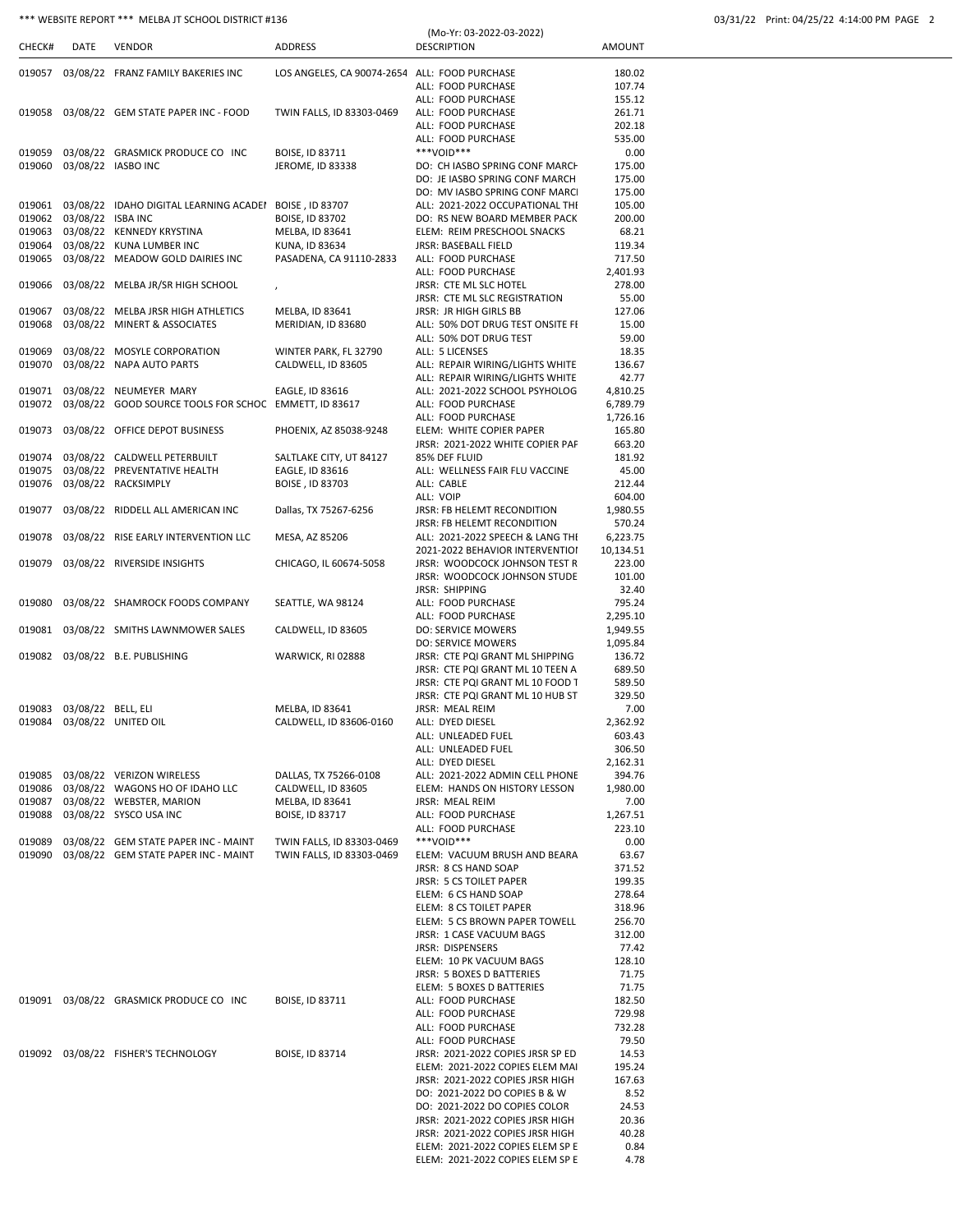# \*\*\* WEBSITE REPORT \*\*\* MELBA JT SCHOOL DISTRICT #136

| 03/31/22 Print: 04/25/22 4:14:00 PM PAGE 2 |  |  |
|--------------------------------------------|--|--|
|                                            |  |  |

| CHECK#           | DATE                      | <b>VENDOR</b>                                                              | <b>ADDRESS</b>                                | (Mo-Yr: 03-2022-03-2022)<br><b>DESCRIPTION</b>                       | <b>AMOUNT</b>      |
|------------------|---------------------------|----------------------------------------------------------------------------|-----------------------------------------------|----------------------------------------------------------------------|--------------------|
|                  |                           |                                                                            |                                               |                                                                      |                    |
| 019057           |                           | 03/08/22 FRANZ FAMILY BAKERIES INC                                         | LOS ANGELES, CA 90074-2654 ALL: FOOD PURCHASE |                                                                      | 180.02             |
|                  |                           |                                                                            |                                               | ALL: FOOD PURCHASE                                                   | 107.74             |
|                  |                           |                                                                            |                                               | ALL: FOOD PURCHASE                                                   | 155.12             |
| 019058           |                           | 03/08/22 GEM STATE PAPER INC - FOOD                                        | TWIN FALLS, ID 83303-0469                     | ALL: FOOD PURCHASE<br>ALL: FOOD PURCHASE                             | 261.71             |
|                  |                           |                                                                            |                                               | ALL: FOOD PURCHASE                                                   | 202.18<br>535.00   |
| 019059           |                           | 03/08/22 GRASMICK PRODUCE CO INC                                           | BOISE, ID 83711                               | ***VOID***                                                           | 0.00               |
| 019060           |                           | 03/08/22 IASBO INC                                                         | JEROME, ID 83338                              | DO: CH IASBO SPRING CONF MARCH                                       | 175.00             |
|                  |                           |                                                                            |                                               | DO: JE IASBO SPRING CONF MARCH                                       | 175.00             |
|                  |                           |                                                                            |                                               | DO: MV IASBO SPRING CONF MARCI                                       | 175.00             |
| 019061           |                           | 03/08/22 IDAHO DIGITAL LEARNING ACADEI BOISE, ID 83707                     |                                               | ALL: 2021-2022 OCCUPATIONAL THI                                      | 105.00             |
| 019062           | 03/08/22 ISBA INC         |                                                                            | BOISE, ID 83702                               | DO: RS NEW BOARD MEMBER PACK                                         | 200.00             |
| 019063<br>019064 |                           | 03/08/22 KENNEDY KRYSTINA<br>03/08/22 KUNA LUMBER INC                      | MELBA, ID 83641<br>KUNA, ID 83634             | ELEM: REIM PRESCHOOL SNACKS<br>JRSR: BASEBALL FIELD                  | 68.21<br>119.34    |
| 019065           |                           | 03/08/22 MEADOW GOLD DAIRIES INC                                           | PASADENA, CA 91110-2833                       | ALL: FOOD PURCHASE                                                   | 717.50             |
|                  |                           |                                                                            |                                               | ALL: FOOD PURCHASE                                                   | 2,401.93           |
| 019066           |                           | 03/08/22 MELBA JR/SR HIGH SCHOOL                                           | $\pmb{\cdot}$                                 | JRSR: CTE ML SLC HOTEL                                               | 278.00             |
|                  |                           |                                                                            |                                               | JRSR: CTE ML SLC REGISTRATION                                        | 55.00              |
| 019067           |                           | 03/08/22 MELBA JRSR HIGH ATHLETICS                                         | MELBA, ID 83641                               | <b>JRSR: JR HIGH GIRLS BB</b>                                        | 127.06             |
| 019068           |                           | 03/08/22 MINERT & ASSOCIATES                                               | MERIDIAN, ID 83680                            | ALL: 50% DOT DRUG TEST ONSITE FI                                     | 15.00              |
| 019069           |                           | 03/08/22 MOSYLE CORPORATION                                                |                                               | ALL: 50% DOT DRUG TEST<br>ALL: 5 LICENSES                            | 59.00<br>18.35     |
| 019070           |                           | 03/08/22 NAPA AUTO PARTS                                                   | WINTER PARK, FL 32790<br>CALDWELL, ID 83605   | ALL: REPAIR WIRING/LIGHTS WHITE                                      | 136.67             |
|                  |                           |                                                                            |                                               | ALL: REPAIR WIRING/LIGHTS WHITE                                      | 42.77              |
| 019071           |                           | 03/08/22 NEUMEYER MARY                                                     | EAGLE, ID 83616                               | ALL: 2021-2022 SCHOOL PSYHOLOG                                       | 4,810.25           |
| 019072           |                           | 03/08/22 GOOD SOURCE TOOLS FOR SCHOC EMMETT, ID 83617                      |                                               | ALL: FOOD PURCHASE                                                   | 6,789.79           |
|                  |                           |                                                                            |                                               | ALL: FOOD PURCHASE                                                   | 1,726.16           |
| 019073           |                           | 03/08/22 OFFICE DEPOT BUSINESS                                             | PHOENIX, AZ 85038-9248                        | ELEM: WHITE COPIER PAPER                                             | 165.80             |
|                  |                           |                                                                            |                                               | JRSR: 2021-2022 WHITE COPIER PAF                                     | 663.20             |
| 019074<br>019075 |                           | 03/08/22 CALDWELL PETERBUILT<br>03/08/22 PREVENTATIVE HEALTH               | SALTLAKE CITY, UT 84127<br>EAGLE, ID 83616    | 85% DEF FLUID<br>ALL: WELLNESS FAIR FLU VACCINE                      | 181.92<br>45.00    |
| 019076           |                           | 03/08/22 RACKSIMPLY                                                        | BOISE, ID 83703                               | ALL: CABLE                                                           | 212.44             |
|                  |                           |                                                                            |                                               | ALL: VOIP                                                            | 604.00             |
| 019077           |                           | 03/08/22 RIDDELL ALL AMERICAN INC                                          | Dallas, TX 75267-6256                         | JRSR: FB HELEMT RECONDITION                                          | 1,980.55           |
|                  |                           |                                                                            |                                               | JRSR: FB HELEMT RECONDITION                                          | 570.24             |
| 019078           |                           | 03/08/22 RISE EARLY INTERVENTION LLC                                       | MESA, AZ 85206                                | ALL: 2021-2022 SPEECH & LANG THI                                     | 6,223.75           |
|                  |                           |                                                                            |                                               | 2021-2022 BEHAVIOR INTERVENTIOI                                      | 10,134.51          |
| 019079           |                           | 03/08/22 RIVERSIDE INSIGHTS                                                | CHICAGO, IL 60674-5058                        | JRSR: WOODCOCK JOHNSON TEST R<br>JRSR: WOODCOCK JOHNSON STUDE        | 223.00<br>101.00   |
|                  |                           |                                                                            |                                               | JRSR: SHIPPING                                                       | 32.40              |
| 019080           |                           | 03/08/22 SHAMROCK FOODS COMPANY                                            | SEATTLE, WA 98124                             | ALL: FOOD PURCHASE                                                   | 795.24             |
|                  |                           |                                                                            |                                               | ALL: FOOD PURCHASE                                                   | 2,295.10           |
| 019081           |                           | 03/08/22 SMITHS LAWNMOWER SALES                                            | CALDWELL, ID 83605                            | <b>DO: SERVICE MOWERS</b>                                            | 1,949.55           |
|                  |                           |                                                                            |                                               | <b>DO: SERVICE MOWERS</b>                                            | 1,095.84           |
| 019082           |                           | 03/08/22 B.E. PUBLISHING                                                   | WARWICK, RI 02888                             | JRSR: CTE PQI GRANT ML SHIPPING                                      | 136.72             |
|                  |                           |                                                                            |                                               | JRSR: CTE PQI GRANT ML 10 TEEN A<br>JRSR: CTE PQI GRANT ML 10 FOOD 1 | 689.50<br>589.50   |
|                  |                           |                                                                            |                                               | JRSR: CTE PQI GRANT ML 10 HUB ST                                     | 329.50             |
|                  | 019083 03/08/22 BELL, ELI |                                                                            | MELBA, ID 83641                               | JRSR: MEAL REIM                                                      | 7.00               |
|                  |                           | 019084 03/08/22 UNITED OIL                                                 | CALDWELL, ID 83606-0160                       | ALL: DYED DIESEL                                                     | 2,362.92           |
|                  |                           |                                                                            |                                               | ALL: UNLEADED FUEL                                                   | 603.43             |
|                  |                           |                                                                            |                                               | ALL: UNLEADED FUEL                                                   | 306.50             |
|                  |                           |                                                                            |                                               | ALL: DYED DIESEL                                                     | 2,162.31           |
|                  |                           | 019085 03/08/22 VERIZON WIRELESS<br>019086 03/08/22 WAGONS HO OF IDAHO LLC | DALLAS, TX 75266-0108<br>CALDWELL, ID 83605   | ALL: 2021-2022 ADMIN CELL PHONE<br>ELEM: HANDS ON HISTORY LESSON     | 394.76<br>1,980.00 |
| 019087           |                           | 03/08/22 WEBSTER, MARION                                                   | MELBA, ID 83641                               | JRSR: MEAL REIM                                                      | 7.00               |
| 019088           |                           | 03/08/22 SYSCO USA INC                                                     | BOISE, ID 83717                               | ALL: FOOD PURCHASE                                                   | 1,267.51           |
|                  |                           |                                                                            |                                               | ALL: FOOD PURCHASE                                                   | 223.10             |
| 019089           |                           | 03/08/22 GEM STATE PAPER INC - MAINT                                       | TWIN FALLS, ID 83303-0469                     | ***VOID***                                                           | 0.00               |
| 019090           |                           | 03/08/22 GEM STATE PAPER INC - MAINT                                       | TWIN FALLS, ID 83303-0469                     | ELEM: VACUUM BRUSH AND BEARA                                         | 63.67              |
|                  |                           |                                                                            |                                               | JRSR: 8 CS HAND SOAP                                                 | 371.52             |
|                  |                           |                                                                            |                                               | JRSR: 5 CS TOILET PAPER<br>ELEM: 6 CS HAND SOAP                      | 199.35<br>278.64   |
|                  |                           |                                                                            |                                               | ELEM: 8 CS TOILET PAPER                                              | 318.96             |
|                  |                           |                                                                            |                                               | ELEM: 5 CS BROWN PAPER TOWELL                                        | 256.70             |
|                  |                           |                                                                            |                                               | JRSR: 1 CASE VACUUM BAGS                                             | 312.00             |
|                  |                           |                                                                            |                                               | JRSR: DISPENSERS                                                     | 77.42              |
|                  |                           |                                                                            |                                               | ELEM: 10 PK VACUUM BAGS<br>JRSR: 5 BOXES D BATTERIES                 | 128.10<br>71.75    |
|                  |                           |                                                                            |                                               | ELEM: 5 BOXES D BATTERIES                                            | 71.75              |
|                  |                           | 019091 03/08/22 GRASMICK PRODUCE CO INC                                    | BOISE, ID 83711                               | ALL: FOOD PURCHASE                                                   | 182.50             |
|                  |                           |                                                                            |                                               | ALL: FOOD PURCHASE                                                   | 729.98             |
|                  |                           |                                                                            |                                               | ALL: FOOD PURCHASE                                                   | 732.28             |
|                  |                           |                                                                            |                                               | ALL: FOOD PURCHASE                                                   | 79.50              |
|                  |                           | 019092 03/08/22 FISHER'S TECHNOLOGY                                        | BOISE, ID 83714                               | JRSR: 2021-2022 COPIES JRSR SP ED                                    | 14.53              |
|                  |                           |                                                                            |                                               | ELEM: 2021-2022 COPIES ELEM MAI<br>JRSR: 2021-2022 COPIES JRSR HIGH  | 195.24             |
|                  |                           |                                                                            |                                               | DO: 2021-2022 DO COPIES B & W                                        | 167.63<br>8.52     |
|                  |                           |                                                                            |                                               | DO: 2021-2022 DO COPIES COLOR                                        | 24.53              |
|                  |                           |                                                                            |                                               | JRSR: 2021-2022 COPIES JRSR HIGH                                     | 20.36              |
|                  |                           |                                                                            |                                               | JRSR: 2021-2022 COPIES JRSR HIGH                                     | 40.28              |
|                  |                           |                                                                            |                                               | ELEM: 2021-2022 COPIES ELEM SP E                                     | 0.84               |
|                  |                           |                                                                            |                                               | ELEM: 2021-2022 COPIES ELEM SP E                                     | 4.78               |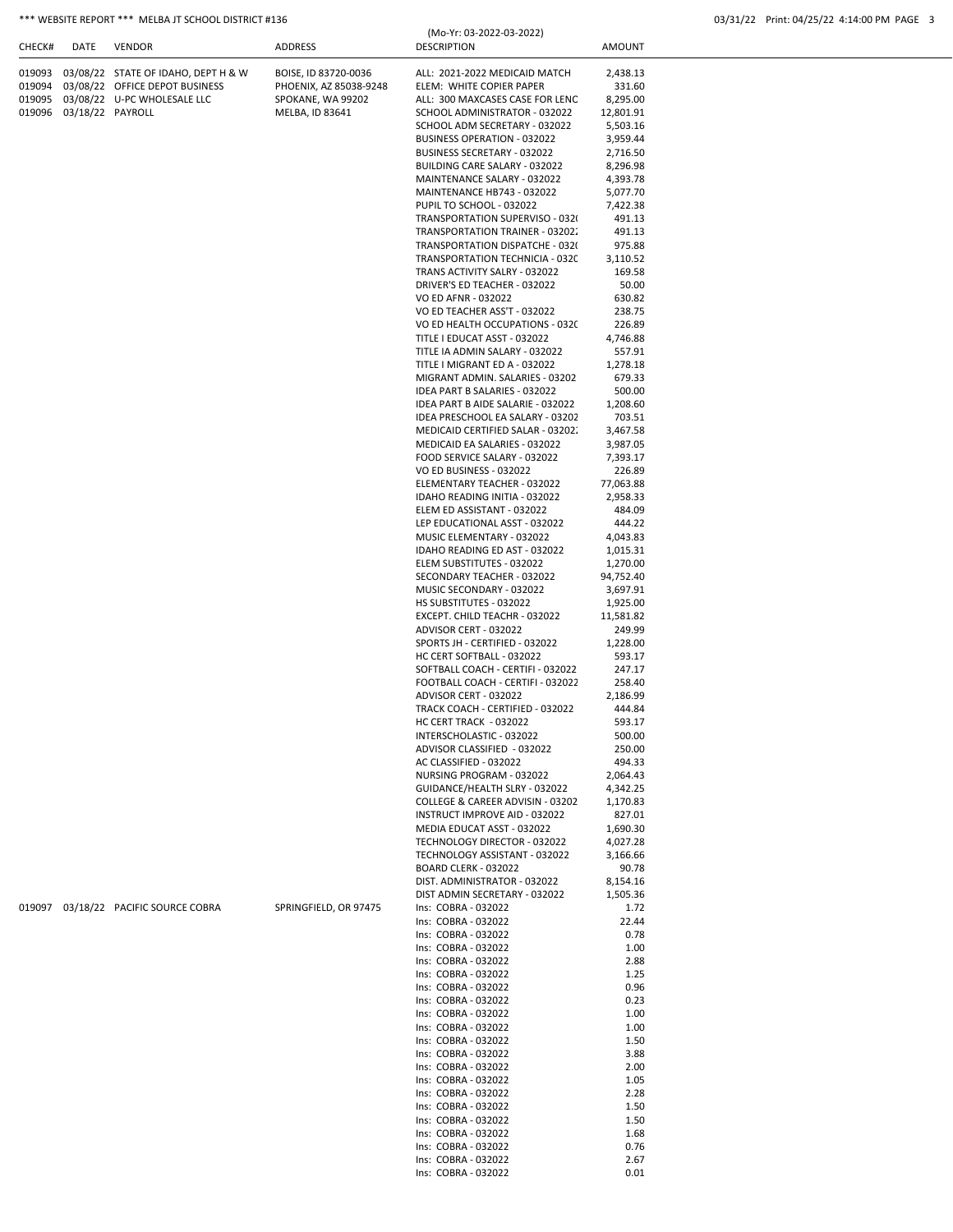# \*\*\* WEBSITE REPORT \*\*\* MELBA JT SCHOOL DISTRICT #136 03/31/22 Print: 04/25/22 4:14:00 PM PAGE 3

|        |                         |                                            |                                      | (Mo-Yr: 03-2022-03-2022)                                          |                       |  |
|--------|-------------------------|--------------------------------------------|--------------------------------------|-------------------------------------------------------------------|-----------------------|--|
| CHECK# | DATE                    | <b>VENDOR</b>                              | ADDRESS                              | <b>DESCRIPTION</b>                                                | AMOUNT                |  |
|        |                         |                                            |                                      |                                                                   |                       |  |
|        |                         | 019093 03/08/22 STATE OF IDAHO, DEPT H & W | BOISE, ID 83720-0036                 | ALL: 2021-2022 MEDICAID MATCH                                     | 2,438.13              |  |
|        |                         | 019094 03/08/22 OFFICE DEPOT BUSINESS      | PHOENIX, AZ 85038-9248               | ELEM: WHITE COPIER PAPER                                          | 331.60                |  |
|        | 019096 03/18/22 PAYROLL | 019095 03/08/22 U-PC WHOLESALE LLC         | SPOKANE, WA 99202<br>MELBA, ID 83641 | ALL: 300 MAXCASES CASE FOR LENC<br>SCHOOL ADMINISTRATOR - 032022  | 8,295.00<br>12,801.91 |  |
|        |                         |                                            |                                      | SCHOOL ADM SECRETARY - 032022                                     | 5,503.16              |  |
|        |                         |                                            |                                      | BUSINESS OPERATION - 032022                                       | 3,959.44              |  |
|        |                         |                                            |                                      | BUSINESS SECRETARY - 032022                                       | 2,716.50              |  |
|        |                         |                                            |                                      | BUILDING CARE SALARY - 032022                                     | 8,296.98              |  |
|        |                         |                                            |                                      | MAINTENANCE SALARY - 032022                                       | 4,393.78              |  |
|        |                         |                                            |                                      | MAINTENANCE HB743 - 032022                                        | 5,077.70              |  |
|        |                         |                                            |                                      | PUPIL TO SCHOOL - 032022                                          | 7,422.38              |  |
|        |                         |                                            |                                      | TRANSPORTATION SUPERVISO - 032<br>TRANSPORTATION TRAINER - 03202. | 491.13<br>491.13      |  |
|        |                         |                                            |                                      | TRANSPORTATION DISPATCHE - 032(                                   | 975.88                |  |
|        |                         |                                            |                                      | TRANSPORTATION TECHNICIA - 0320                                   | 3,110.52              |  |
|        |                         |                                            |                                      | TRANS ACTIVITY SALRY - 032022                                     | 169.58                |  |
|        |                         |                                            |                                      | DRIVER'S ED TEACHER - 032022                                      | 50.00                 |  |
|        |                         |                                            |                                      | VO ED AFNR - 032022                                               | 630.82                |  |
|        |                         |                                            |                                      | VO ED TEACHER ASS'T - 032022                                      | 238.75                |  |
|        |                         |                                            |                                      | VO ED HEALTH OCCUPATIONS - 0320                                   | 226.89                |  |
|        |                         |                                            |                                      | TITLE I EDUCAT ASST - 032022<br>TITLE IA ADMIN SALARY - 032022    | 4,746.88<br>557.91    |  |
|        |                         |                                            |                                      | TITLE I MIGRANT ED A - 032022                                     | 1,278.18              |  |
|        |                         |                                            |                                      | MIGRANT ADMIN. SALARIES - 03202                                   | 679.33                |  |
|        |                         |                                            |                                      | IDEA PART B SALARIES - 032022                                     | 500.00                |  |
|        |                         |                                            |                                      | IDEA PART B AIDE SALARIE - 032022                                 | 1,208.60              |  |
|        |                         |                                            |                                      | IDEA PRESCHOOL EA SALARY - 03202                                  | 703.51                |  |
|        |                         |                                            |                                      | MEDICAID CERTIFIED SALAR - 03202.                                 | 3,467.58              |  |
|        |                         |                                            |                                      | MEDICAID EA SALARIES - 032022                                     | 3,987.05              |  |
|        |                         |                                            |                                      | FOOD SERVICE SALARY - 032022                                      | 7,393.17              |  |
|        |                         |                                            |                                      | VO ED BUSINESS - 032022                                           | 226.89                |  |
|        |                         |                                            |                                      | ELEMENTARY TEACHER - 032022<br>IDAHO READING INITIA - 032022      | 77,063.88<br>2,958.33 |  |
|        |                         |                                            |                                      | ELEM ED ASSISTANT - 032022                                        | 484.09                |  |
|        |                         |                                            |                                      | LEP EDUCATIONAL ASST - 032022                                     | 444.22                |  |
|        |                         |                                            |                                      | MUSIC ELEMENTARY - 032022                                         | 4,043.83              |  |
|        |                         |                                            |                                      | IDAHO READING ED AST - 032022                                     | 1,015.31              |  |
|        |                         |                                            |                                      | ELEM SUBSTITUTES - 032022                                         | 1,270.00              |  |
|        |                         |                                            |                                      | SECONDARY TEACHER - 032022                                        | 94,752.40             |  |
|        |                         |                                            |                                      | MUSIC SECONDARY - 032022                                          | 3,697.91              |  |
|        |                         |                                            |                                      | HS SUBSTITUTES - 032022<br>EXCEPT. CHILD TEACHR - 032022          | 1,925.00<br>11,581.82 |  |
|        |                         |                                            |                                      | ADVISOR CERT - 032022                                             | 249.99                |  |
|        |                         |                                            |                                      | SPORTS JH - CERTIFIED - 032022                                    | 1,228.00              |  |
|        |                         |                                            |                                      | HC CERT SOFTBALL - 032022                                         | 593.17                |  |
|        |                         |                                            |                                      | SOFTBALL COACH - CERTIFI - 032022                                 | 247.17                |  |
|        |                         |                                            |                                      | FOOTBALL COACH - CERTIFI - 032022                                 | 258.40                |  |
|        |                         |                                            |                                      | ADVISOR CERT - 032022                                             | 2,186.99              |  |
|        |                         |                                            |                                      | TRACK COACH - CERTIFIED - 032022                                  | 444.84                |  |
|        |                         |                                            |                                      | HC CERT TRACK - 032022                                            | 593.17                |  |
|        |                         |                                            |                                      | INTERSCHOLASTIC - 032022<br>ADVISOR CLASSIFIED - 032022           | 500.00<br>250.00      |  |
|        |                         |                                            |                                      | AC CLASSIFIED - 032022                                            | 494.33                |  |
|        |                         |                                            |                                      | NURSING PROGRAM - 032022                                          | 2,064.43              |  |
|        |                         |                                            |                                      | GUIDANCE/HEALTH SLRY - 032022                                     | 4,342.25              |  |
|        |                         |                                            |                                      | COLLEGE & CAREER ADVISIN - 03202                                  | 1,170.83              |  |
|        |                         |                                            |                                      | INSTRUCT IMPROVE AID - 032022                                     | 827.01                |  |
|        |                         |                                            |                                      | MEDIA EDUCAT ASST - 032022                                        | 1,690.30              |  |
|        |                         |                                            |                                      | TECHNOLOGY DIRECTOR - 032022                                      | 4,027.28              |  |
|        |                         |                                            |                                      | TECHNOLOGY ASSISTANT - 032022                                     | 3,166.66              |  |
|        |                         |                                            |                                      | BOARD CLERK - 032022<br>DIST. ADMINISTRATOR - 032022              | 90.78<br>8,154.16     |  |
|        |                         |                                            |                                      | DIST ADMIN SECRETARY - 032022                                     | 1,505.36              |  |
|        |                         | 019097 03/18/22 PACIFIC SOURCE COBRA       | SPRINGFIELD, OR 97475                | Ins: COBRA - 032022                                               | 1.72                  |  |
|        |                         |                                            |                                      | Ins: COBRA - 032022                                               | 22.44                 |  |
|        |                         |                                            |                                      | Ins: COBRA - 032022                                               | 0.78                  |  |
|        |                         |                                            |                                      | Ins: COBRA - 032022                                               | 1.00                  |  |
|        |                         |                                            |                                      | Ins: COBRA - 032022                                               | 2.88                  |  |
|        |                         |                                            |                                      | Ins: COBRA - 032022                                               | 1.25                  |  |
|        |                         |                                            |                                      | Ins: COBRA - 032022<br>Ins: COBRA - 032022                        | 0.96<br>0.23          |  |
|        |                         |                                            |                                      | Ins: COBRA - 032022                                               | 1.00                  |  |
|        |                         |                                            |                                      | Ins: COBRA - 032022                                               | 1.00                  |  |
|        |                         |                                            |                                      | Ins: COBRA - 032022                                               | 1.50                  |  |
|        |                         |                                            |                                      | Ins: COBRA - 032022                                               | 3.88                  |  |
|        |                         |                                            |                                      | Ins: COBRA - 032022                                               | 2.00                  |  |
|        |                         |                                            |                                      | Ins: COBRA - 032022                                               | 1.05                  |  |
|        |                         |                                            |                                      | Ins: COBRA - 032022                                               | 2.28                  |  |
|        |                         |                                            |                                      | Ins: COBRA - 032022<br>Ins: COBRA - 032022                        | 1.50<br>1.50          |  |
|        |                         |                                            |                                      | Ins: COBRA - 032022                                               | 1.68                  |  |
|        |                         |                                            |                                      | Ins: COBRA - 032022                                               | 0.76                  |  |
|        |                         |                                            |                                      | Ins: COBRA - 032022                                               | 2.67                  |  |
|        |                         |                                            |                                      | Ins: COBRA - 032022                                               | 0.01                  |  |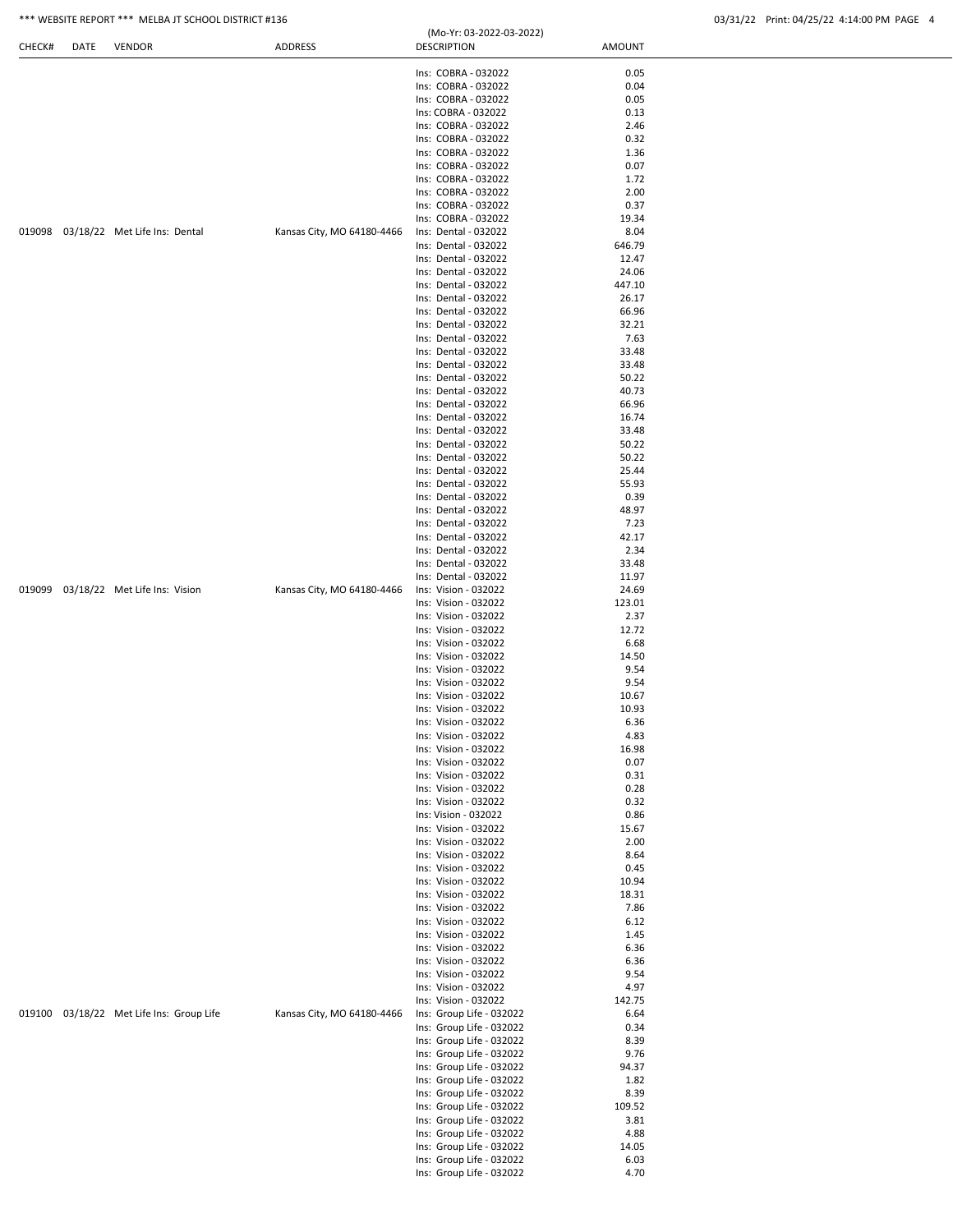## \*\*\* WEBSITE REPORT \*\*\* MELBA JT SCHOOL DISTRICT #136 03/31/22 Print: 04/25/22 4:14:00 PM PAGE 4

| CHECK# | DATE | <b>VENDOR</b>                        | ADDRESS                    | <b>DESCRIPTION</b>                                   | AMOUNT          |  |
|--------|------|--------------------------------------|----------------------------|------------------------------------------------------|-----------------|--|
|        |      |                                      |                            | Ins: COBRA - 032022                                  | 0.05            |  |
|        |      |                                      |                            | Ins: COBRA - 032022                                  | 0.04            |  |
|        |      |                                      |                            | Ins: COBRA - 032022                                  | 0.05            |  |
|        |      |                                      |                            | Ins: COBRA - 032022                                  | 0.13            |  |
|        |      |                                      |                            | Ins: COBRA - 032022                                  | 2.46            |  |
|        |      |                                      |                            | Ins: COBRA - 032022                                  | 0.32            |  |
|        |      |                                      |                            | Ins: COBRA - 032022                                  | 1.36            |  |
|        |      |                                      |                            | Ins: COBRA - 032022<br>Ins: COBRA - 032022           | 0.07<br>1.72    |  |
|        |      |                                      |                            | Ins: COBRA - 032022                                  | 2.00            |  |
|        |      |                                      |                            | Ins: COBRA - 032022                                  | 0.37            |  |
|        |      |                                      |                            | Ins: COBRA - 032022                                  | 19.34           |  |
|        |      | 019098 03/18/22 Met Life Ins: Dental | Kansas City, MO 64180-4466 | Ins: Dental - 032022                                 | 8.04            |  |
|        |      |                                      |                            | Ins: Dental - 032022                                 | 646.79          |  |
|        |      |                                      |                            | Ins: Dental - 032022                                 | 12.47           |  |
|        |      |                                      |                            | Ins: Dental - 032022<br>Ins: Dental - 032022         | 24.06<br>447.10 |  |
|        |      |                                      |                            | Ins: Dental - 032022                                 | 26.17           |  |
|        |      |                                      |                            | Ins: Dental - 032022                                 | 66.96           |  |
|        |      |                                      |                            | Ins: Dental - 032022                                 | 32.21           |  |
|        |      |                                      |                            | Ins: Dental - 032022                                 | 7.63            |  |
|        |      |                                      |                            | Ins: Dental - 032022                                 | 33.48           |  |
|        |      |                                      |                            | Ins: Dental - 032022                                 | 33.48           |  |
|        |      |                                      |                            | Ins: Dental - 032022<br>Ins: Dental - 032022         | 50.22<br>40.73  |  |
|        |      |                                      |                            | Ins: Dental - 032022                                 | 66.96           |  |
|        |      |                                      |                            | Ins: Dental - 032022                                 | 16.74           |  |
|        |      |                                      |                            | Ins: Dental - 032022                                 | 33.48           |  |
|        |      |                                      |                            | Ins: Dental - 032022                                 | 50.22           |  |
|        |      |                                      |                            | Ins: Dental - 032022                                 | 50.22           |  |
|        |      |                                      |                            | Ins: Dental - 032022                                 | 25.44           |  |
|        |      |                                      |                            | Ins: Dental - 032022<br>Ins: Dental - 032022         | 55.93<br>0.39   |  |
|        |      |                                      |                            | Ins: Dental - 032022                                 | 48.97           |  |
|        |      |                                      |                            | Ins: Dental - 032022                                 | 7.23            |  |
|        |      |                                      |                            | Ins: Dental - 032022                                 | 42.17           |  |
|        |      |                                      |                            | Ins: Dental - 032022                                 | 2.34            |  |
|        |      |                                      |                            | Ins: Dental - 032022                                 | 33.48           |  |
| 019099 |      | 03/18/22 Met Life Ins: Vision        | Kansas City, MO 64180-4466 | Ins: Dental - 032022<br>Ins: Vision - 032022         | 11.97<br>24.69  |  |
|        |      |                                      |                            | Ins: Vision - 032022                                 | 123.01          |  |
|        |      |                                      |                            | Ins: Vision - 032022                                 | 2.37            |  |
|        |      |                                      |                            | Ins: Vision - 032022                                 | 12.72           |  |
|        |      |                                      |                            | Ins: Vision - 032022                                 | 6.68            |  |
|        |      |                                      |                            | Ins: Vision - 032022                                 | 14.50           |  |
|        |      |                                      |                            | Ins: Vision - 032022                                 | 9.54            |  |
|        |      |                                      |                            | Ins: Vision - 032022<br>Ins: Vision - 032022         | 9.54<br>10.67   |  |
|        |      |                                      |                            | Ins: Vision - 032022                                 | 10.93           |  |
|        |      |                                      |                            | Ins: Vision - 032022                                 | 6.36            |  |
|        |      |                                      |                            | Ins: Vision - 032022                                 | 4.83            |  |
|        |      |                                      |                            | Ins: Vision - 032022                                 | 16.98           |  |
|        |      |                                      |                            | Ins: Vision - 032022                                 | 0.07            |  |
|        |      |                                      |                            | Ins: Vision - 032022                                 | 0.31            |  |
|        |      |                                      |                            | Ins: Vision - 032022<br>Ins: Vision - 032022         | 0.28<br>0.32    |  |
|        |      |                                      |                            | Ins: Vision - 032022                                 | 0.86            |  |
|        |      |                                      |                            | Ins: Vision - 032022                                 | 15.67           |  |
|        |      |                                      |                            | Ins: Vision - 032022                                 | 2.00            |  |
|        |      |                                      |                            | Ins: Vision - 032022                                 | 8.64            |  |
|        |      |                                      |                            | Ins: Vision - 032022                                 | 0.45            |  |
|        |      |                                      |                            | Ins: Vision - 032022<br>Ins: Vision - 032022         | 10.94<br>18.31  |  |
|        |      |                                      |                            | Ins: Vision - 032022                                 | 7.86            |  |
|        |      |                                      |                            | Ins: Vision - 032022                                 | 6.12            |  |
|        |      |                                      |                            | Ins: Vision - 032022                                 | 1.45            |  |
|        |      |                                      |                            | Ins: Vision - 032022                                 | 6.36            |  |
|        |      |                                      |                            | Ins: Vision - 032022                                 | 6.36            |  |
|        |      |                                      |                            | Ins: Vision - 032022                                 | 9.54            |  |
|        |      |                                      |                            | Ins: Vision - 032022<br>Ins: Vision - 032022         | 4.97<br>142.75  |  |
| 019100 |      | 03/18/22 Met Life Ins: Group Life    | Kansas City, MO 64180-4466 | Ins: Group Life - 032022                             | 6.64            |  |
|        |      |                                      |                            | Ins: Group Life - 032022                             | 0.34            |  |
|        |      |                                      |                            | Ins: Group Life - 032022                             | 8.39            |  |
|        |      |                                      |                            | Ins: Group Life - 032022                             | 9.76            |  |
|        |      |                                      |                            | Ins: Group Life - 032022                             | 94.37           |  |
|        |      |                                      |                            | Ins: Group Life - 032022<br>Ins: Group Life - 032022 | 1.82<br>8.39    |  |
|        |      |                                      |                            | Ins: Group Life - 032022                             | 109.52          |  |
|        |      |                                      |                            | Ins: Group Life - 032022                             | 3.81            |  |
|        |      |                                      |                            | Ins: Group Life - 032022                             | 4.88            |  |
|        |      |                                      |                            | Ins: Group Life - 032022                             | 14.05           |  |
|        |      |                                      |                            | Ins: Group Life - 032022                             | 6.03            |  |
|        |      |                                      |                            | Ins: Group Life - 032022                             | 4.70            |  |

(Mo-Yr: 03-2022-03-2022)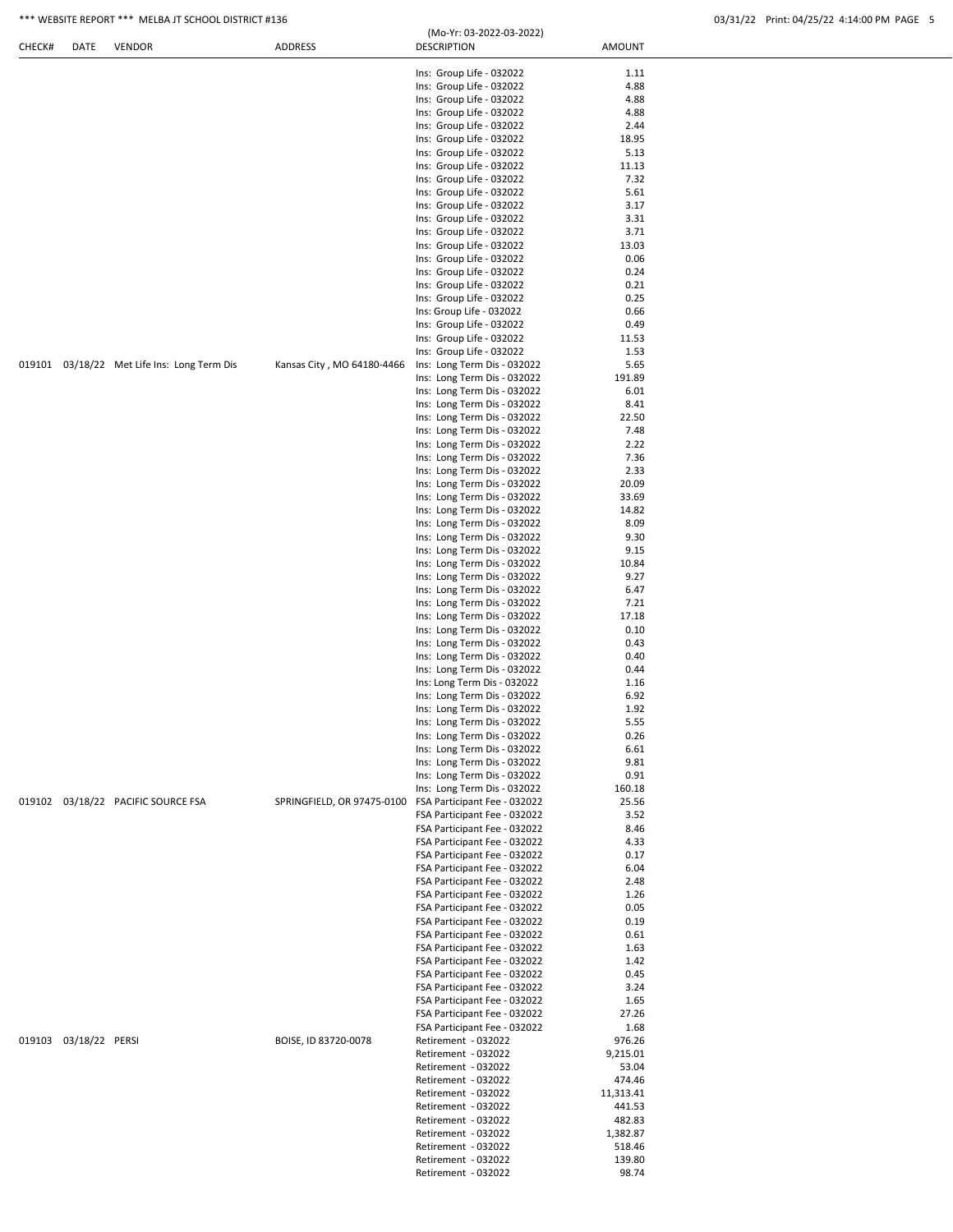# \*\*\* WEBSITE REPORT \*\*\* MELBA JT SCHOOL DISTRICT #136 03/31/22 Print: 04/25/22 4:14:00 PM PAGE 5

|  | 03/31/22 Print: 04/25/22 4:14:00 PM PAGE 5 |  |
|--|--------------------------------------------|--|
|  |                                            |  |

| CHECK# | DATE                  | <b>VENDOR</b>                               | <b>ADDRESS</b>             | (Mo-Yr: 03-2022-03-2022)<br><b>DESCRIPTION</b>               | <b>AMOUNT</b>    |  |
|--------|-----------------------|---------------------------------------------|----------------------------|--------------------------------------------------------------|------------------|--|
|        |                       |                                             |                            | Ins: Group Life - 032022                                     | 1.11             |  |
|        |                       |                                             |                            | Ins: Group Life - 032022                                     | 4.88             |  |
|        |                       |                                             |                            | Ins: Group Life - 032022                                     | 4.88             |  |
|        |                       |                                             |                            | Ins: Group Life - 032022                                     | 4.88             |  |
|        |                       |                                             |                            | Ins: Group Life - 032022                                     | 2.44             |  |
|        |                       |                                             |                            | Ins: Group Life - 032022                                     | 18.95            |  |
|        |                       |                                             |                            | Ins: Group Life - 032022                                     | 5.13             |  |
|        |                       |                                             |                            | Ins: Group Life - 032022                                     | 11.13            |  |
|        |                       |                                             |                            | Ins: Group Life - 032022                                     | 7.32             |  |
|        |                       |                                             |                            | Ins: Group Life - 032022                                     | 5.61             |  |
|        |                       |                                             |                            | Ins: Group Life - 032022                                     | 3.17             |  |
|        |                       |                                             |                            | Ins: Group Life - 032022                                     | 3.31             |  |
|        |                       |                                             |                            | Ins: Group Life - 032022                                     | 3.71             |  |
|        |                       |                                             |                            | Ins: Group Life - 032022                                     | 13.03            |  |
|        |                       |                                             |                            | Ins: Group Life - 032022                                     | 0.06             |  |
|        |                       |                                             |                            | Ins: Group Life - 032022                                     | 0.24             |  |
|        |                       |                                             |                            | Ins: Group Life - 032022                                     | 0.21             |  |
|        |                       |                                             |                            | Ins: Group Life - 032022                                     | 0.25             |  |
|        |                       |                                             |                            | Ins: Group Life - 032022                                     | 0.66             |  |
|        |                       |                                             |                            | Ins: Group Life - 032022                                     | 0.49             |  |
|        |                       |                                             |                            | Ins: Group Life - 032022                                     | 11.53            |  |
|        |                       |                                             |                            | Ins: Group Life - 032022                                     | 1.53             |  |
|        |                       | 019101 03/18/22 Met Life Ins: Long Term Dis | Kansas City, MO 64180-4466 | Ins: Long Term Dis - 032022<br>Ins: Long Term Dis - 032022   | 5.65<br>191.89   |  |
|        |                       |                                             |                            |                                                              |                  |  |
|        |                       |                                             |                            | Ins: Long Term Dis - 032022<br>Ins: Long Term Dis - 032022   | 6.01<br>8.41     |  |
|        |                       |                                             |                            | Ins: Long Term Dis - 032022                                  | 22.50            |  |
|        |                       |                                             |                            | Ins: Long Term Dis - 032022                                  | 7.48             |  |
|        |                       |                                             |                            | Ins: Long Term Dis - 032022                                  | 2.22             |  |
|        |                       |                                             |                            | Ins: Long Term Dis - 032022                                  | 7.36             |  |
|        |                       |                                             |                            | Ins: Long Term Dis - 032022                                  | 2.33             |  |
|        |                       |                                             |                            | Ins: Long Term Dis - 032022                                  | 20.09            |  |
|        |                       |                                             |                            | Ins: Long Term Dis - 032022                                  | 33.69            |  |
|        |                       |                                             |                            | Ins: Long Term Dis - 032022                                  | 14.82            |  |
|        |                       |                                             |                            | Ins: Long Term Dis - 032022                                  | 8.09             |  |
|        |                       |                                             |                            | Ins: Long Term Dis - 032022                                  | 9.30             |  |
|        |                       |                                             |                            | Ins: Long Term Dis - 032022                                  | 9.15             |  |
|        |                       |                                             |                            | Ins: Long Term Dis - 032022                                  | 10.84            |  |
|        |                       |                                             |                            | Ins: Long Term Dis - 032022                                  | 9.27             |  |
|        |                       |                                             |                            | Ins: Long Term Dis - 032022                                  | 6.47             |  |
|        |                       |                                             |                            | Ins: Long Term Dis - 032022                                  | 7.21             |  |
|        |                       |                                             |                            | Ins: Long Term Dis - 032022                                  | 17.18            |  |
|        |                       |                                             |                            | Ins: Long Term Dis - 032022                                  | 0.10             |  |
|        |                       |                                             |                            | Ins: Long Term Dis - 032022                                  | 0.43             |  |
|        |                       |                                             |                            | Ins: Long Term Dis - 032022                                  | 0.40             |  |
|        |                       |                                             |                            | Ins: Long Term Dis - 032022                                  | 0.44             |  |
|        |                       |                                             |                            | Ins: Long Term Dis - 032022                                  | 1.16             |  |
|        |                       |                                             |                            | Ins: Long Term Dis - 032022                                  | 6.92             |  |
|        |                       |                                             |                            | Ins: Long Term Dis - 032022                                  | 1.92             |  |
|        |                       |                                             |                            | Ins: Long Term Dis - 032022                                  | 5.55             |  |
|        |                       |                                             |                            | Ins: Long Term Dis - 032022                                  | 0.26             |  |
|        |                       |                                             |                            | Ins: Long Term Dis - 032022                                  | 6.61             |  |
|        |                       |                                             |                            | Ins: Long Term Dis - 032022                                  | 9.81             |  |
|        |                       |                                             |                            | Ins: Long Term Dis - 032022                                  | 0.91             |  |
|        |                       |                                             |                            | Ins: Long Term Dis - 032022                                  | 160.18           |  |
|        |                       | 019102 03/18/22 PACIFIC SOURCE FSA          | SPRINGFIELD, OR 97475-0100 | FSA Participant Fee - 032022                                 | 25.56            |  |
|        |                       |                                             |                            | FSA Participant Fee - 032022                                 | 3.52             |  |
|        |                       |                                             |                            | FSA Participant Fee - 032022                                 | 8.46             |  |
|        |                       |                                             |                            | FSA Participant Fee - 032022                                 | 4.33             |  |
|        |                       |                                             |                            | FSA Participant Fee - 032022                                 | 0.17             |  |
|        |                       |                                             |                            | FSA Participant Fee - 032022<br>FSA Participant Fee - 032022 | 6.04<br>2.48     |  |
|        |                       |                                             |                            | FSA Participant Fee - 032022                                 | 1.26             |  |
|        |                       |                                             |                            | FSA Participant Fee - 032022                                 | 0.05             |  |
|        |                       |                                             |                            | FSA Participant Fee - 032022                                 | 0.19             |  |
|        |                       |                                             |                            | FSA Participant Fee - 032022                                 | 0.61             |  |
|        |                       |                                             |                            | FSA Participant Fee - 032022                                 | 1.63             |  |
|        |                       |                                             |                            | FSA Participant Fee - 032022                                 | 1.42             |  |
|        |                       |                                             |                            | FSA Participant Fee - 032022                                 | 0.45             |  |
|        |                       |                                             |                            | FSA Participant Fee - 032022                                 | 3.24             |  |
|        |                       |                                             |                            | FSA Participant Fee - 032022                                 | 1.65             |  |
|        |                       |                                             |                            | FSA Participant Fee - 032022                                 | 27.26            |  |
|        |                       |                                             |                            | FSA Participant Fee - 032022                                 | 1.68             |  |
|        | 019103 03/18/22 PERSI |                                             | BOISE, ID 83720-0078       | Retirement - 032022                                          | 976.26           |  |
|        |                       |                                             |                            | Retirement - 032022                                          | 9,215.01         |  |
|        |                       |                                             |                            | Retirement - 032022                                          | 53.04            |  |
|        |                       |                                             |                            | Retirement - 032022                                          | 474.46           |  |
|        |                       |                                             |                            | Retirement - 032022                                          | 11,313.41        |  |
|        |                       |                                             |                            |                                                              |                  |  |
|        |                       |                                             |                            |                                                              |                  |  |
|        |                       |                                             |                            | Retirement - 032022                                          | 441.53           |  |
|        |                       |                                             |                            | Retirement - 032022                                          | 482.83           |  |
|        |                       |                                             |                            | Retirement - 032022                                          | 1,382.87         |  |
|        |                       |                                             |                            | Retirement - 032022<br>Retirement - 032022                   | 518.46<br>139.80 |  |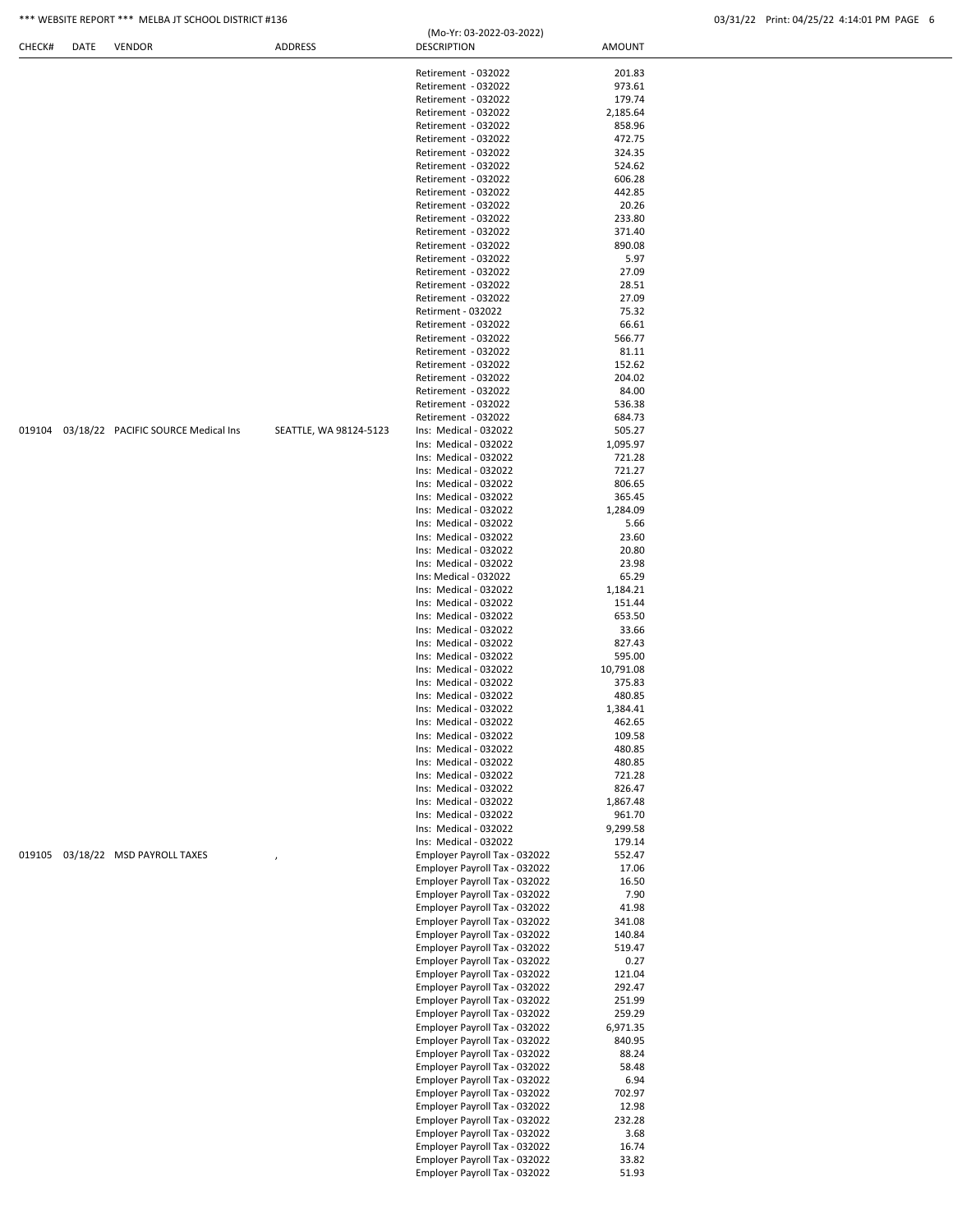| *** WEBSITE REPORT *** MELBA JT SCHOOL DISTRICT #136 | 03/31/22    Print: 04/25/22    4:14:01 PM PAGE |
|------------------------------------------------------|------------------------------------------------|
|                                                      |                                                |

|        |      |                                            |                        | (Mo-Yr: 03-2022-03-2022)                                       |                     |  |
|--------|------|--------------------------------------------|------------------------|----------------------------------------------------------------|---------------------|--|
| CHECK# | DATE | <b>VENDOR</b>                              | ADDRESS                | <b>DESCRIPTION</b>                                             | <b>AMOUNT</b>       |  |
|        |      |                                            |                        | Retirement - 032022                                            | 201.83              |  |
|        |      |                                            |                        | Retirement - 032022                                            | 973.61              |  |
|        |      |                                            |                        | Retirement - 032022                                            | 179.74              |  |
|        |      |                                            |                        | Retirement - 032022                                            | 2,185.64            |  |
|        |      |                                            |                        | Retirement - 032022                                            | 858.96              |  |
|        |      |                                            |                        | Retirement - 032022<br>Retirement - 032022                     | 472.75<br>324.35    |  |
|        |      |                                            |                        | Retirement - 032022                                            | 524.62              |  |
|        |      |                                            |                        | Retirement - 032022                                            | 606.28              |  |
|        |      |                                            |                        | Retirement - 032022                                            | 442.85              |  |
|        |      |                                            |                        | Retirement - 032022                                            | 20.26               |  |
|        |      |                                            |                        | Retirement - 032022                                            | 233.80              |  |
|        |      |                                            |                        | Retirement - 032022<br>Retirement - 032022                     | 371.40<br>890.08    |  |
|        |      |                                            |                        | Retirement - 032022                                            | 5.97                |  |
|        |      |                                            |                        | Retirement - 032022                                            | 27.09               |  |
|        |      |                                            |                        | Retirement - 032022                                            | 28.51               |  |
|        |      |                                            |                        | Retirement - 032022                                            | 27.09               |  |
|        |      |                                            |                        | Retirment - 032022<br>Retirement - 032022                      | 75.32<br>66.61      |  |
|        |      |                                            |                        | Retirement - 032022                                            | 566.77              |  |
|        |      |                                            |                        | Retirement - 032022                                            | 81.11               |  |
|        |      |                                            |                        | Retirement - 032022                                            | 152.62              |  |
|        |      |                                            |                        | Retirement - 032022                                            | 204.02              |  |
|        |      |                                            |                        | Retirement - 032022                                            | 84.00               |  |
|        |      |                                            |                        | Retirement - 032022<br>Retirement - 032022                     | 536.38<br>684.73    |  |
|        |      | 019104 03/18/22 PACIFIC SOURCE Medical Ins | SEATTLE, WA 98124-5123 | Ins: Medical - 032022                                          | 505.27              |  |
|        |      |                                            |                        | Ins: Medical - 032022                                          | 1,095.97            |  |
|        |      |                                            |                        | Ins: Medical - 032022                                          | 721.28              |  |
|        |      |                                            |                        | Ins: Medical - 032022                                          | 721.27              |  |
|        |      |                                            |                        | Ins: Medical - 032022                                          | 806.65              |  |
|        |      |                                            |                        | Ins: Medical - 032022<br>Ins: Medical - 032022                 | 365.45<br>1,284.09  |  |
|        |      |                                            |                        | Ins: Medical - 032022                                          | 5.66                |  |
|        |      |                                            |                        | Ins: Medical - 032022                                          | 23.60               |  |
|        |      |                                            |                        | Ins: Medical - 032022                                          | 20.80               |  |
|        |      |                                            |                        | Ins: Medical - 032022                                          | 23.98               |  |
|        |      |                                            |                        | Ins: Medical - 032022                                          | 65.29               |  |
|        |      |                                            |                        | Ins: Medical - 032022<br>Ins: Medical - 032022                 | 1,184.21<br>151.44  |  |
|        |      |                                            |                        | Ins: Medical - 032022                                          | 653.50              |  |
|        |      |                                            |                        | Ins: Medical - 032022                                          | 33.66               |  |
|        |      |                                            |                        | Ins: Medical - 032022                                          | 827.43              |  |
|        |      |                                            |                        | Ins: Medical - 032022                                          | 595.00              |  |
|        |      |                                            |                        | Ins: Medical - 032022<br>Ins: Medical - 032022                 | 10,791.08<br>375.83 |  |
|        |      |                                            |                        | Ins: Medical - 032022                                          | 480.85              |  |
|        |      |                                            |                        | Ins: Medical - 032022                                          | 1,384.41            |  |
|        |      |                                            |                        | Ins: Medical - 032022                                          | 462.65              |  |
|        |      |                                            |                        | Ins: Medical - 032022                                          | 109.58              |  |
|        |      |                                            |                        | Ins: Medical - 032022<br>Ins: Medical - 032022                 | 480.85              |  |
|        |      |                                            |                        | Ins: Medical - 032022                                          | 480.85<br>721.28    |  |
|        |      |                                            |                        | Ins: Medical - 032022                                          | 826.47              |  |
|        |      |                                            |                        | Ins: Medical - 032022                                          | 1,867.48            |  |
|        |      |                                            |                        | Ins: Medical - 032022                                          | 961.70              |  |
|        |      |                                            |                        | Ins: Medical - 032022                                          | 9,299.58            |  |
|        |      | 019105 03/18/22 MSD PAYROLL TAXES          |                        | Ins: Medical - 032022<br>Employer Payroll Tax - 032022         | 179.14<br>552.47    |  |
|        |      |                                            |                        | Employer Payroll Tax - 032022                                  | 17.06               |  |
|        |      |                                            |                        | Employer Payroll Tax - 032022                                  | 16.50               |  |
|        |      |                                            |                        | Employer Payroll Tax - 032022                                  | 7.90                |  |
|        |      |                                            |                        | Employer Payroll Tax - 032022                                  | 41.98               |  |
|        |      |                                            |                        | Employer Payroll Tax - 032022<br>Employer Payroll Tax - 032022 | 341.08<br>140.84    |  |
|        |      |                                            |                        | Employer Payroll Tax - 032022                                  | 519.47              |  |
|        |      |                                            |                        | Employer Payroll Tax - 032022                                  | 0.27                |  |
|        |      |                                            |                        | Employer Payroll Tax - 032022                                  | 121.04              |  |
|        |      |                                            |                        | Employer Payroll Tax - 032022                                  | 292.47              |  |
|        |      |                                            |                        | Employer Payroll Tax - 032022                                  | 251.99              |  |
|        |      |                                            |                        | Employer Payroll Tax - 032022<br>Employer Payroll Tax - 032022 | 259.29<br>6,971.35  |  |
|        |      |                                            |                        | Employer Payroll Tax - 032022                                  | 840.95              |  |
|        |      |                                            |                        | Employer Payroll Tax - 032022                                  | 88.24               |  |
|        |      |                                            |                        | Employer Payroll Tax - 032022                                  | 58.48               |  |
|        |      |                                            |                        | Employer Payroll Tax - 032022                                  | 6.94                |  |
|        |      |                                            |                        | Employer Payroll Tax - 032022<br>Employer Payroll Tax - 032022 | 702.97<br>12.98     |  |
|        |      |                                            |                        | Employer Payroll Tax - 032022                                  | 232.28              |  |
|        |      |                                            |                        | Employer Payroll Tax - 032022                                  | 3.68                |  |
|        |      |                                            |                        | Employer Payroll Tax - 032022                                  | 16.74               |  |
|        |      |                                            |                        | Employer Payroll Tax - 032022                                  | 33.82               |  |
|        |      |                                            |                        | Employer Payroll Tax - 032022                                  | 51.93               |  |